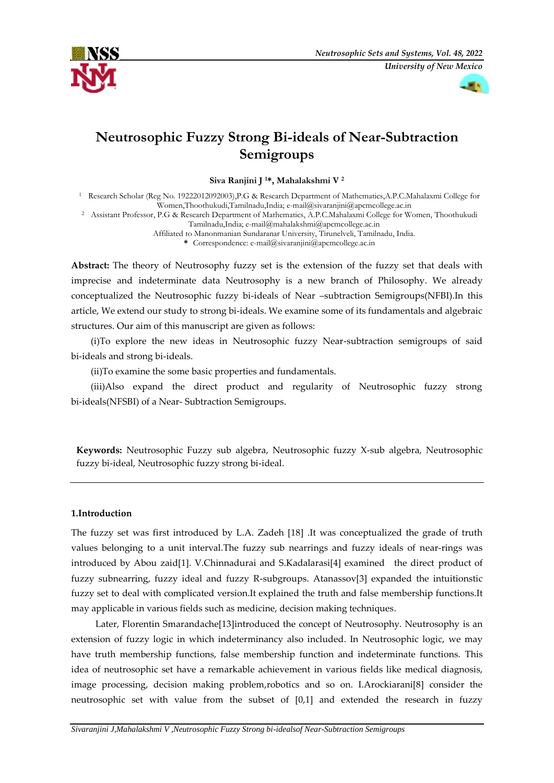



# **Neutrosophic Fuzzy Strong Bi-ideals of Near-Subtraction Semigroups**

**Siva Ranjini J <sup>1</sup>\*, Mahalakshmi V <sup>2</sup>**

<sup>1</sup> Research Scholar (Reg No. 19222012092003),P.G & Research Department of Mathematics,A.P.C.Mahalaxmi College for Women,Thoothukudi,Tamilnadu,India; e-mail@sivaranjini@apcmcollege.ac.in

<sup>2</sup> Assistant Professor, P.G & Research Department of Mathematics, A.P.C.Mahalaxmi College for Women, Thoothukudi

Tamilnadu,India; [e-mail@mahalakshmi@apcmcollege.ac.in](mailto:e-mail@mahalakshmi@apcmcollege.ac.in)

Affiliated to Manonmanian Sundaranar University, Tirunelveli, Tamilnadu, India.

**\*** Correspondence: e-mail[@sivaranjini@apcmcollege.ac.in](mailto:sivaranjini@apcmcollege.ac.in)

**Abstract:** The theory of Neutrosophy fuzzy set is the extension of the fuzzy set that deals with imprecise and indeterminate data Neutrosophy is a new branch of Philosophy. We already conceptualized the Neutrosophic fuzzy bi-ideals of Near –subtraction Semigroups(NFBI).In this article, We extend our study to strong bi-ideals. We examine some of its fundamentals and algebraic structures. Our aim of this manuscript are given as follows:

(i)To explore the new ideas in Neutrosophic fuzzy Near-subtraction semigroups of said bi-ideals and strong bi-ideals.

(ii)To examine the some basic properties and fundamentals.

(iii)Also expand the direct product and regularity of Neutrosophic fuzzy strong bi-ideals(NFSBI) of a Near- Subtraction Semigroups.

**Keywords:** Neutrosophic Fuzzy sub algebra, Neutrosophic fuzzy X-sub algebra, Neutrosophic fuzzy bi-ideal, Neutrosophic fuzzy strong bi-ideal.

### **1.Introduction**

The fuzzy set was first introduced by L.A. Zadeh [18] .It was conceptualized the grade of truth values belonging to a unit interval.The fuzzy sub nearrings and fuzzy ideals of near-rings was introduced by Abou zaid[1]. V.Chinnadurai and S.Kadalarasi[4] examined the direct product of fuzzy subnearring, fuzzy ideal and fuzzy R-subgroups. Atanassov[3] expanded the intuitionstic fuzzy set to deal with complicated version.It explained the truth and false membership functions.It may applicable in various fields such as medicine, decision making techniques.

Later, Florentin Smarandache[13]introduced the concept of Neutrosophy. Neutrosophy is an extension of fuzzy logic in which indeterminancy also included. In Neutrosophic logic, we may have truth membership functions, false membership function and indeterminate functions. This idea of neutrosophic set have a remarkable achievement in various fields like medical diagnosis, image processing, decision making problem,robotics and so on. I.Arockiarani[8] consider the neutrosophic set with value from the subset of [0,1] and extended the research in fuzzy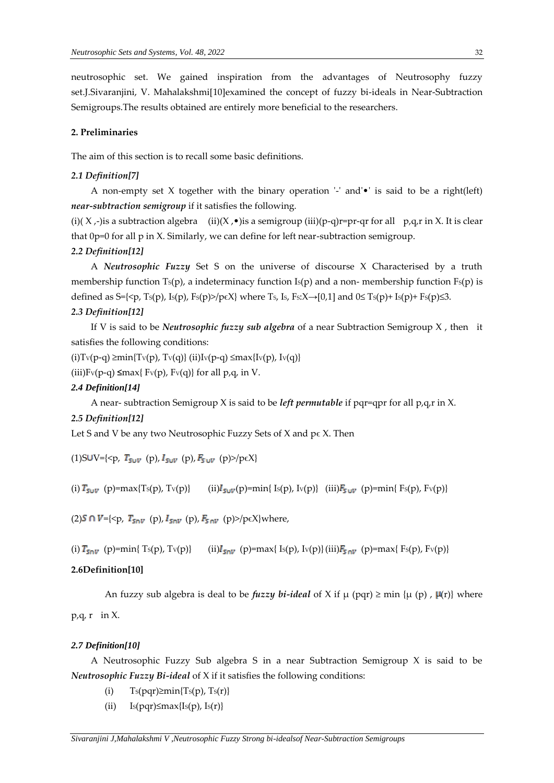neutrosophic set. We gained inspiration from the advantages of Neutrosophy fuzzy set.J.Sivaranjini, V. Mahalakshmi[10]examined the concept of fuzzy bi-ideals in Near-Subtraction Semigroups.The results obtained are entirely more beneficial to the researchers.

### **2. Preliminaries**

The aim of this section is to recall some basic definitions.

### *2.1 Definition[7]*

A non-empty set X together with the binary operation  $-$  and  $\bullet$  is said to be a right(left) *near-subtraction semigroup* if it satisfies the following.

(i)( X  $,$ -)is a subtraction algebra (ii)(X  $, \bullet$ )is a semigroup (iii)(p-q)r=pr-qr for all p,q,r in X. It is clear that 0p=0 for all p in X. Similarly, we can define for left near-subtraction semigroup.

### *2.2 Definition[12]*

A *Neutrosophic Fuzzy* Set S on the universe of discourse X Characterised by a truth membership function  $Ts(p)$ , a indeterminacy function  $Is(p)$  and a non- membership function  $Fs(p)$  is defined as  $S=\{ \langle p, Ts(p), Is(p), Fs(p) \rangle / p \in X \}$  where Ts, Is, Fs: $X \rightarrow [0,1]$  and  $0 \leq Ts(p)+ Is(p) \leq 3$ .

### *2.3 Definition[12]*

If V is said to be *Neutrosophic fuzzy sub algebra* of a near Subtraction Semigroup X , then it satisfies the following conditions:

(i)Tv(p-q) ≥min{Tv(p), Tv(q)} (ii)Iv(p-q) ≤max{Iv(p), Iv(q)}

(iii) $Fv(p-q) \leq max\{ Fv(p), Fv(q) \}$  for all p,q, in V.

#### *2.4 Definition[14]*

A near- subtraction Semigroup X is said to be *left permutable* if pqr=qpr for all p,q,r in X.

### *2.5 Definition[12]*

Let S and V be any two Neutrosophic Fuzzy Sets of X and  $p \in X$ . Then

(1)SUV= $\{5p, T_{S \cup V}$  (p),  $I_{S \cup V}$  (p),  $F_{S \cup V}$  (p)>/p $\in X\}$ 

(i)  $T_{S\cup V}$  (p)=max{Ts(p), Tv(p)} (ii) $I_{S\cup V}(p)$ =min{ Is(p), Iv(p)} (iii) $F_{S\cup V}(p)$ =min{ Fs(p), Fv(p)}

(2)  $S \cap V = \{ \langle p, T_{\text{Sov}}(p), I_{\text{Sov}}(p), F_{\text{Sov}}(p) \rangle / p \in X \}$  where,

(i)  $T_{50V}$  (p)=min{ Ts(p), Tv(p)} (ii) $I_{50V}$  (p)=max{ Is(p), Iv(p)}(iii) $F_{50V}$  (p)=max{ Fs(p), Fv(p)}

### **2.6Definition[10]**

An fuzzy sub algebra is deal to be *fuzzy bi-ideal* of X if  $\mu$  (pqr)  $\geq$  min { $\mu$  (p) ,  $\mu$ (r)} where

 $p,q,r$  in X.

### *2.7 Definition[10]*

A Neutrosophic Fuzzy Sub algebra S in a near Subtraction Semigroup X is said to be *Neutrosophic Fuzzy Bi-ideal* of X if it satisfies the following conditions:

- (i)  $T_s(pqr) \geq min{T_s(p), T_s(r)}$
- (ii)  $Is(pqr) \leq max{Is(p), Is(r)}$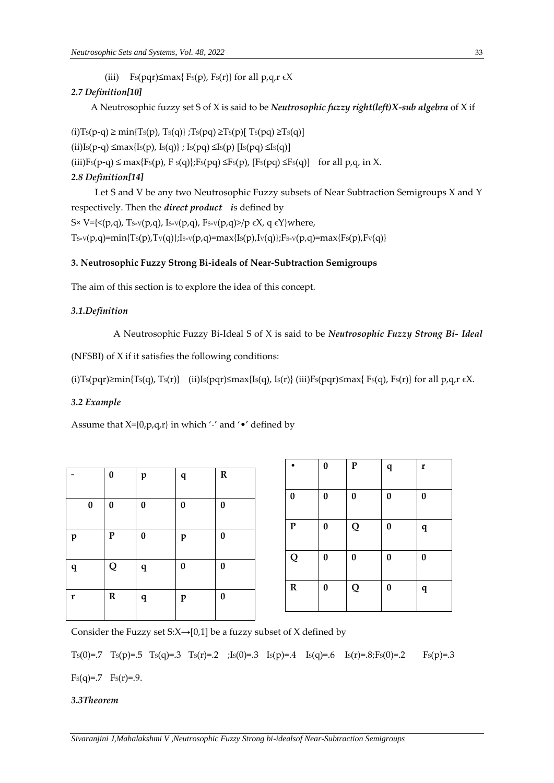(iii) Fs(pqr) $\leq$ max{ Fs(p), Fs(r)} for all p,q,r  $\in$ X

# *2.7 Definition[10]*

A Neutrosophic fuzzy set S of X is said to be *Neutrosophic fuzzy right(left)X-sub algebra* of X if

 $(i)$ Ts(p-q) ≥ min{Ts(p), Ts(q)} ;Ts(pq) ≥Ts(p)[ Ts(pq) ≥Ts(q)] (ii)Is(p-q)  $\leq$ max{Is(p), Is(q)} ; Is(pq)  $\leq$ Is(p) [Is(pq)  $\leq$ Is(q)] (iii)Fs(p-q)  $\leq$  max{Fs(p), F s(q)};Fs(pq)  $\leq$ Fs(p), [Fs(pq)  $\leq$ Fs(q)] for all p,q, in X. *2.8 Definition[14]*

Let S and V be any two Neutrosophic Fuzzy subsets of Near Subtraction Semigroups X and Y respectively. Then the *direct product i*s defined by S× V={ $\langle (p,q), T_{S} \times (p,q), I_{S} \times (p,q), F_{S} \times (p,q) \rangle$ }  $\in$  X, q  $\in$  Y}where,  $T_{S \times V}(p,q) = min{T_S(p),T_V(q)};I_{S \times V}(p,q) = max{I_S(p),I_V(q)};F_{S \times V}(p,q) = max{F_S(p),F_V(q)}$ 

# **3. Neutrosophic Fuzzy Strong Bi-ideals of Near-Subtraction Semigroups**

The aim of this section is to explore the idea of this concept.

## *3.1.Definition*

```
A Neutrosophic Fuzzy Bi-Ideal S of X is said to be Neutrosophic Fuzzy Strong Bi- Ideal
```
(NFSBI) of X if it satisfies the following conditions:

```
(i)Ts(pqr)≥min{Ts(q), Ts(r)} (ii)Is(pqr)≤max{Is(q), Is(r)} (iii)Fs(pqr)≤max{ Fs(q), Fs(r)} for all p,q,r \epsilon X.
```
# *3.2 Example*

Assume that  $X=[0,p,q,r]$  in which '-' and ' $\bullet$ ' defined by

|              | $\pmb{0}$ | $\mathbf{p}$     | $\mathbf q$      | ${\bf R}$ |
|--------------|-----------|------------------|------------------|-----------|
| $\pmb{0}$    | 0         | 0                | $\boldsymbol{0}$ | $\bf{0}$  |
| $\mathbf{p}$ | ${\bf P}$ | $\boldsymbol{0}$ | $\mathbf{p}$     | $\bf{0}$  |
| q            | Q         | $\mathbf q$      | $\boldsymbol{0}$ | $\bf{0}$  |
| $\mathbf r$  | ${\bf R}$ | $\mathbf q$      | $\mathbf{p}$     | $\bf{0}$  |

|                  | $\bf{0}$         | ${\bf P}$        | $\mathbf q$ | r           |
|------------------|------------------|------------------|-------------|-------------|
| $\boldsymbol{0}$ | $\bf{0}$         | $\boldsymbol{0}$ | $\bf{0}$    | $\pmb{0}$   |
| ${\bf P}$        | $\pmb{0}$        | Q                | $\bf{0}$    | ${\bf q}$   |
| Q                | $\pmb{0}$        | $\bf{0}$         | $\bf{0}$    | $\pmb{0}$   |
| ${\bf R}$        | $\boldsymbol{0}$ | Q                | $\pmb{0}$   | $\mathbf q$ |

Consider the Fuzzy set S: $X \rightarrow [0,1]$  be a fuzzy subset of X defined by

Ts(0)=.7 Ts(p)=.5 Ts(q)=.3 Ts(r)=.2 ;Is(0)=.3 Is(p)=.4 Is(q)=.6 Is(r)=.8;Fs(0)=.2 Fs(p)=.3  $Fs(q)=.7 \text{ Fs}(r)=.9.$ 

## *3.3Theorem*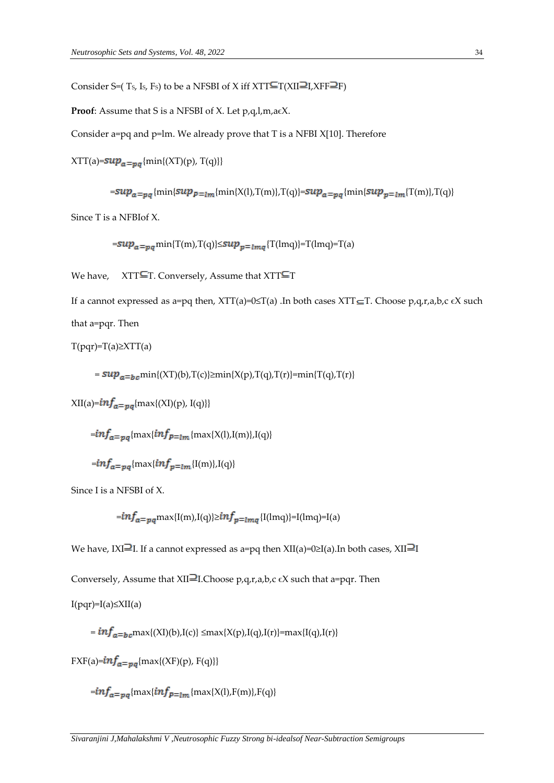Consider S=(Ts, Is, Fs) to be a NFSBI of X iff  $XTT \subseteq T(XII \sqsupseteq I, XFF \sqsupseteq F)$ 

**Proof**: Assume that S is a NFSBI of X. Let p,q,l,m,a $\epsilon$ X.

Consider a=pq and p=lm. We already prove that T is a NFBI X[10]. Therefore

 $XTT(a)=sup_{a=pg}$ {min{(XT)(p), T(q)}}

 $= {sup}_{a=pq}\{\min\{sup_{p=\lfloor m}\{\min\{X(l),\mathcal{T}(m)\},\mathcal{T}(q)\}= sup_{a=pq}\{\min\{sup_{p=\lfloor m}\{\mathcal{T}(m)\},\mathcal{T}(q)\}+\mathcal{T}(m)\}}$ 

Since T is a NFBIof X.

 $= \sup_{a = pq} \min\{\text{T(m)},\text{T(q)}\} \leq \sup_{p = lmq}\{\text{T(lmq)}\} = \text{T(lmq)} = \text{T(a)}$ 

We have,  $XTT\equiv T$ . Conversely, Assume that  $XTT\equiv T$ 

If a cannot expressed as a=pq then,  $XTT(a)=0 \leq T(a)$ . In both cases  $XTT \subseteq T$ . Choose p,q,r,a,b,c  $\in X$  such that a=pqr. Then

 $T(pqr)=T(a)\geq XTT(a)$ 

 $= \sup_{a=b,c} \min\{(XT)(b),T(c)\}\geq \min\{X(p),T(q),T(r)\}=\min\{T(q),T(r)\}$ 

 $XII(a)=\frac{imf_a}{\log \max\{XI\}(p), I(q)\}$ 

 $=$   $\frac{imf_a}{m}$   $\left\{ \max\{inf_{p=lm} \{ \max\{X(l),I(m)\},I(q)\} \right\}$ 

```
=inf<sub>a=ng</sub>{\max\{inf_{n=lm}{I(m)},I(q)}
```
Since I is a NFSBI of X.

 $= i n f_{a=mq}$ max{I(m),I(q)}≥ $i n f_{n=lmq}$ {I(lmq)}=I(lmq)=I(a)

We have, IXI<sup>2</sup>I. If a cannot expressed as a=pq then  $XII(a)=0 \geq I(a)$ . In both cases,  $XII$ <sup>2</sup>I

Conversely, Assume that XII<sup>2</sup>I.Choose p,q,r,a,b,c  $\epsilon$ X such that a=pqr. Then

 $I(pqr)=I(a) \leq XII(a)$ 

 $= inf_{a=b}_{cm}$ max{(XI)(b),I(c)}  $\leq$ max{X(p),I(q),I(r)}=max{I(q),I(r)}

 $FXF(a)=\inf_{\mathfrak{a}=\mathfrak{v}\mathfrak{a}}\{\max\{(XF)(p), F(q)\}\}$ 

 $=$   $imf_a$  =  $_{na}$  {max{ $inf_{p=lm}$  {max{X(1),F(m)},F(q)}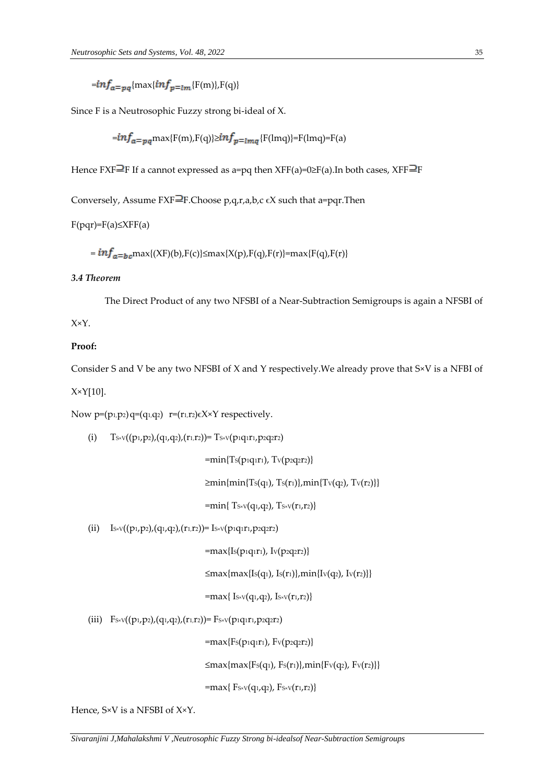$=$ inf<sub>a=pq</sub>{max{inf<sub>p=lm</sub>{F(m)},F(q)}

Since F is a Neutrosophic Fuzzy strong bi-ideal of X.

$$
=\frac{inf_a}{=p_a} \text{max}\{F(m), F(q)\}\geq \frac{inf_p}{= \text{Im} \cdot g} \{F(lmq)\} = F(lmq) = F(a)
$$

Hence FXF $\equiv$ F If a cannot expressed as a=pq then XFF(a)=0 $\geq$ F(a).In both cases, XFF $\equiv$ F

Conversely, Assume FXF $\exists$ F.Choose p,q,r,a,b,c  $\epsilon$ X such that a=pqr.Then

# $F(pqr)=F(a) \leq XFF(a)$

 $= inf_{a=b,c}$ max{(XF)(b),F(c)}≤max{X(p),F(q),F(r)}=max{F(q),F(r)}

# *3.4 Theorem*

The Direct Product of any two NFSBI of a Near-Subtraction Semigroups is again a NFSBI of

X×Y.

# **Proof:**

Consider S and V be any two NFSBI of X and Y respectively.We already prove that S×V is a NFBI of X×Y[10].

Now  $p=(p_1,p_2)q=(q_1,q_2)$   $r=(r_1,r_2)\in X\times Y$  respectively.

(i)  $T_{S \times V}((p_1, p_2), (q_1, q_2), (r_1, r_2)) = T_{S \times V}(p_1 q_1 r_1, p_2 q_2 r_2)$ 

 $=$ min{Ts(p1q1r1), Tv(p2q2r2)}

 $\geq$ min{min{Ts(q1), Ts(r1)},min{Tv(q2), Tv(r2)}}

 $=$ min{ T<sub>S×V</sub>(q<sub>1</sub>,q<sub>2</sub>), T<sub>S×V</sub>(r<sub>1</sub>,r<sub>2</sub>)}

(ii)  $I_{S\times V}((p_1,p_2),(q_1,q_2),(r_1,r_2))= I_{S\times V}(p_1q_1r_1,p_2q_2r_2)$ 

 $=$ max{Is(p1q1r1), Iv(p2q2r2)}

 $≤max{max{Is(q_1), Is(r_1)},min{Iv(q_2), Iv(r_2)}}$ 

 $=$ max{ Is×v(q<sub>1</sub>,q<sub>2</sub>), Is×v(r<sub>1</sub>,r<sub>2</sub>)}

(iii)  $F_{S \times V}((p_1, p_2), (q_1, q_2), (r_1, r_2)) = F_{S \times V}(p_1 q_1 r_1, p_2 q_2 r_2)$ 

 $=$ max{Fs(p1q1r1), Fv(p2q2r2)}

 $≤max{max{Fs(q_1), Fs(r_1)},min{Fv(q_2), Fv(r_2)}}$ 

 $=$ max{ F<sub>S×V</sub>(q<sub>1</sub>,q<sub>2</sub>), F<sub>S×V</sub>(r<sub>1</sub>,r<sub>2</sub>)}

Hence, S×V is a NFSBI of X×Y.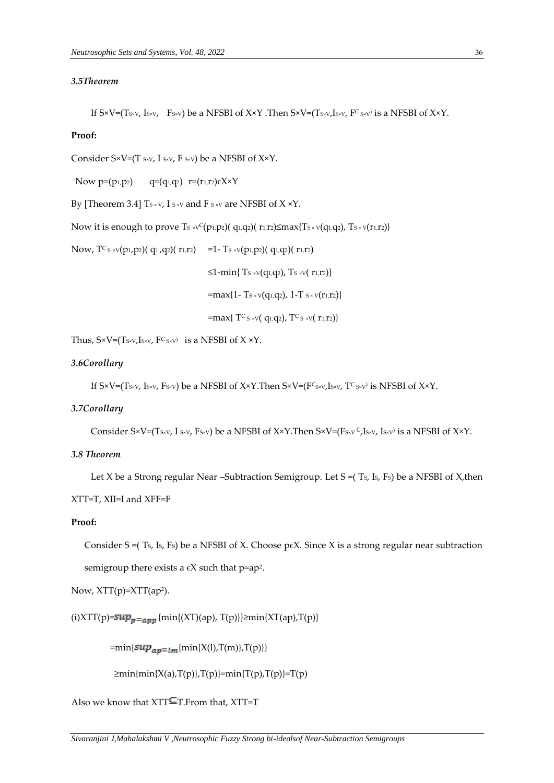### *3.5Theorem*

If S×V=(Ts×v, Is×v, Fs×v) be a NFSBI of X×Y .Then S×V=(Ts×v,Is×v, F<sup>c</sup>s×v) is a NFSBI of X×Y.

#### **Proof:**

Consider  $S \times V = (T \, s \times v, I \, s \times v, F \, s \times v)$  be a NFSBI of  $X \times Y$ .

Now  $p=(p_1,p_2)$   $q=(q_1,q_2)$   $r=(r_1,r_2)\in X\times Y$ 

By [Theorem 3.4]  $Ts \times v$ , I s  $\times v$  and F s  $\times v$  are NFSBI of X  $\times$ Y.

Now it is enough to prove  $T_s \vee^C(p_1,p_2)$  (q<sub>1</sub>,q<sub>2</sub>)( $r_1,r_2$ ) $\leq$ max{T<sub>S</sub> × v(q<sub>1</sub>,q<sub>2</sub>), T<sub>S</sub> × v(r<sub>1</sub>,r<sub>2</sub>)}

Now,  $T_c$  s  $\frac{1}{2}$  (p<sub>1</sub>,p<sub>2</sub>)( q<sub>1</sub>,q<sub>2</sub>)( r<sub>1</sub>,r<sub>2</sub>) = 1- T<sub>s</sub>  $\frac{1}{2}$  (p<sub>1</sub>,p<sub>2</sub>)( q<sub>1</sub>,q<sub>2</sub>)( r<sub>1</sub>,r<sub>2</sub>)

≤1-min{ Ts ×v(q<sub>1</sub>,q<sub>2</sub>), Ts ×v( r<sub>1</sub>,r<sub>2</sub>)}

 $=$ max{1- Ts × v(q<sub>1</sub>,q<sub>2</sub>), 1-T s × v(r<sub>1</sub>,r<sub>2</sub>)}

 $=$ max{ T<sup>C</sup> s ×V( q<sub>1</sub>,q<sub>2</sub>), T<sup>C</sup> s ×V( r<sub>1</sub>,r<sub>2</sub>)}

Thus,  $S \times V = (T_{S \times V}, I_{S \times V}, F^C_{S \times V})$  is a NFSBI of  $X \times Y$ .

### *3.6Corollary*

If S×V=(Ts×v, Is×v, Fs×v) be a NFSBI of X×Y.Then S×V=(F<sup>c</sup>s×v,Is×v, T<sup>c</sup>s×v) is NFSBI of X×Y.

#### *3.7Corollary*

Consider S×V=(Ts×v, I s×v, Fs×v) be a NFSBI of X×Y.Then S×V=(Fs×v  $\mathsf{C}$ ,Is×v, Is×v) is a NFSBI of X×Y.

### *3.8 Theorem*

Let X be a Strong regular Near –Subtraction Semigroup. Let  $S = (Ts, Is, Fs)$  be a NFSBI of X, then XTT=T, XII=I and XFF=F

#### **Proof:**

Consider S =( $T_s$ , Is, Fs) be a NFSBI of X. Choose p $\epsilon$ X. Since X is a strong regular near subtraction semigroup there exists a  $\epsilon$ X such that p=ap<sup>2</sup>.

Now, XTT(p)=XTT(ap<sup>2</sup> ).

(i)XTT(p)= $\sup_{p=\text{app}}$ {min{(XT)(ap), T(p)}} $\geq$ min{XT(ap),T(p)}

 $=\min\{\sup_{ap=lm}\{\min\{X(l),T(m)\},T(p)\}\}\$ 

 $\geq$ min{min{X(a),T(p)},T(p)}=min{T(p),T(p)}=T(p)

Also we know that  $XTT = T$ . From that,  $XTT = T$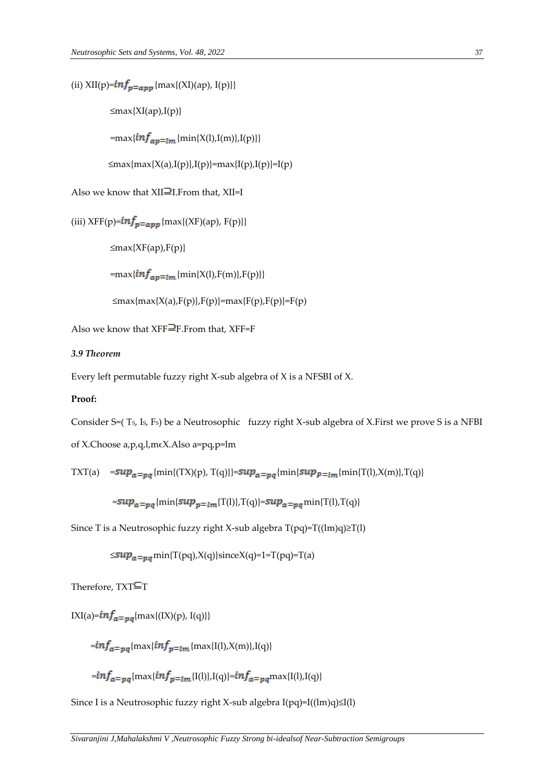(ii) XII(p)= $inf_{p=app}$  {max{(XI)(ap), I(p)}}

 $\leq$ max{XI(ap),I(p)}

=max{ $inf_{ap=lm}$ {min{X(l),I(m)},I(p)}}

≤max{max{X(a),I(p)},I(p)}=max{I(p),I(p)}=I(p)

Also we know that  $XII\equiv I$ . From that,  $XII=I$ 

```
(iii) XFF(p)=\frac{inf_p}{=app} {max{(XF)(ap), F(p)}}
```
≤max{XF(ap),F(p)}

=max{ $inf_{ap=lm}$ {min{X(l),F(m)},F(p)}}

$$
\leq \max\{ \max\{X(a), F(p)\}, F(p)\} = \max\{F(p), F(p)\} = F(p)
$$

Also we know that  $XFF = F$ . From that,  $XFF = F$ 

# *3.9 Theorem*

Every left permutable fuzzy right X-sub algebra of X is a NFSBI of X.

#### **Proof:**

Consider S=( TS, IS, FS) be a Neutrosophic fuzzy right X-sub algebra of X.First we prove S is a NFBI

of X.Choose a,p,q,l,mϵX.Also a=pq,p=lm

$$
TXT(a) = \sup_{a=pq} \{ \min\{ (TX)(p), T(q) \} \} = \sup_{a=pq} \{ \min\{ \sup_{p=lm} \{ \min\{ T(l), X(m) \}, T(q) \}
$$

 $= {\sup_{a=pq}}$  {min{ $\sup_{p=lm}$ {T(l)},T(q)}= $\sup_{a=pq}$  min{T(l),T(q)}

Since T is a Neutrosophic fuzzy right X-sub algebra T(pq)=T((lm)q)≥T(l)

 $\leq$ su $p_{a=va}$ min{T(pq),X(q)}sinceX(q)=1=T(pq)=T(a)

Therefore,  $TXT$  $T$ 

 $IXI(a)=\inf_{a=pq}\{max\{(IX)(p), I(q)\}\}$ 

 $=min f_{a=pq}$ {max{ $inf_{p=lm}$ {max{I(l),X(m)},I(q)}

 $\hspace{-.2cm}= \hspace{-.2cm}inf_{a=pq}\{ \max\{inf_{p=lm}\{I(l)\}, I(q)\} = \hspace{-.2cm}inf_{a=pq}\max\{I(l), I(q)\}$ 

Since I is a Neutrosophic fuzzy right X-sub algebra I(pq)=I((lm)q)≤I(l)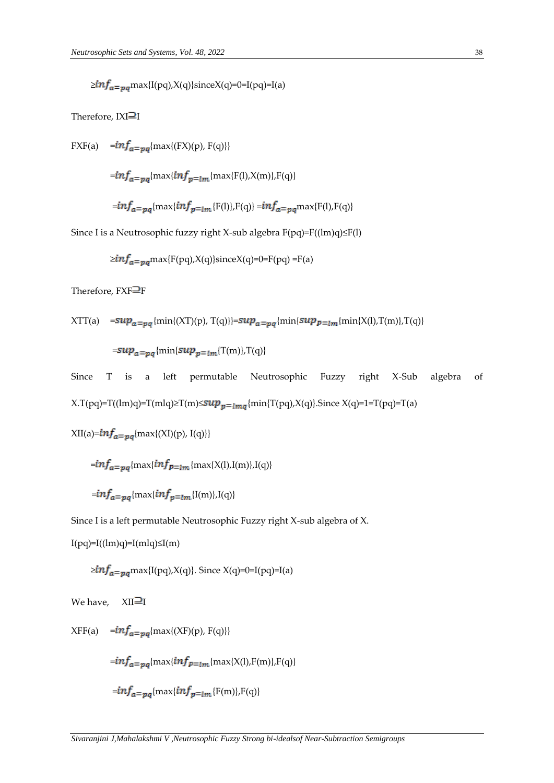$\geq inf_{a=pq}$ max{I(pq),X(q)}sinceX(q)=0=I(pq)=I(a)

Therefore,  $IXI\equiv I$ 

FXF(a)  $= inf_{a=pq}$ {max{(FX)(p), F(q)}}

 $= {inf_{a=pa}}$ {max{ ${inf_{p=lm}}$ {max{F(l),X(m)},F(q)}

$$
=\frac{inf_a}{p}q\{\max\{\frac{inf_p}{=}\frac{m}{[F(l)],F(q)\}}=\frac{inf_a}{p}q\max\{F(l),F(q)\}
$$

Since I is a Neutrosophic fuzzy right X-sub algebra F(pq)=F((lm)q)≤F(l)

$$
\geq inf_{a=pq} \max\{F(pq), X(q)\}\text{since } X(q)=0=F(pq)=F(a)
$$

Therefore,  $FXF\equiv F$ 

$$
XTT(a) = \sup a = pq \{ \min\{ (XT)(p), T(q) \} \} = \sup a = pq \{ \min\{ \sup p = \lim \{ \min\{ X(l), T(m) \}, T(q) \} \}
$$

 $=sup_{a= pq}$ {min{ $sup_{p= lm}$ {T(m)},T(q)}

Since T is a left permutable Neutrosophic Fuzzy right X-Sub algebra of  $X.T(pq)=T((lm)q)=T(mlq)\geq T(m)\leq sup_{p=lmq}\{\min\{T(pq),X(q)\}\}$ . Since  $X(q)=1=T(pq)=T(a)$ 

XII(a)=
$$
inf_{a=pq}
$$
{max{(XI)(p), I(q)}}

 $=$   $imf_a = p_a$ {max{ $imf_{p=lm}$ {max{X(l),I(m)},I(q)}

$$
=\inf_{a=pq}\{\max\{\inf_{p=lm}\{I(m)\},I(q)\}\}
$$

Since I is a left permutable Neutrosophic Fuzzy right X-sub algebra of X.

 $I(pq)=I(\text{lm})q=I(\text{ml}q)\leq I(\text{m})$ 

 $\geq$ in $f_{a=pq}$ max{I(pq),X(q)}. Since X(q)=0=I(pq)=I(a)

We have, 
$$
XII \equiv I
$$

 $XFF(a) = {inf_{a=pq}\{\max\{(XF)(p), F(q)\}}$ 

 $=$   $imf_a = p_a$  {max{ $inf_{p=lm}$  {max{X(1),F(m)},F(q)}

$$
=inf_{a=pq}\{\max\{inf_{p=lm}\{F(m)\},F(q)\}\}
$$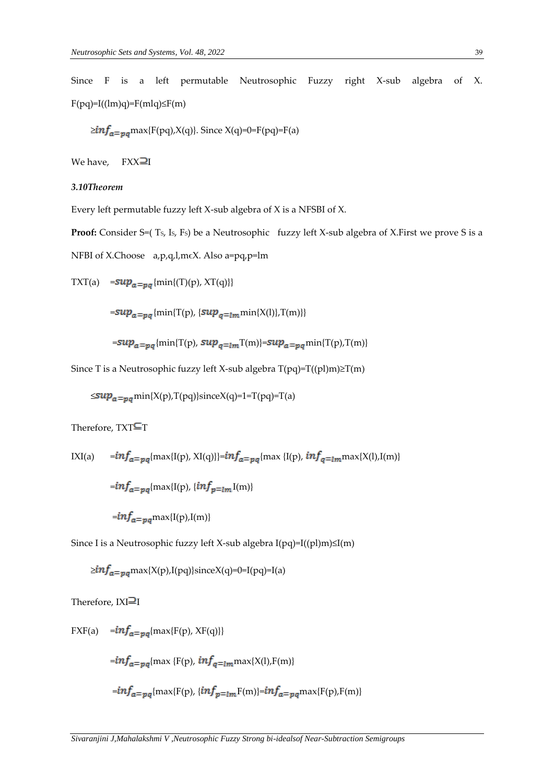Since F is a left permutable Neutrosophic Fuzzy right X-sub algebra of X.  $F(pq)=I((lm)q)=F(mlq)\leq F(m)$ 

 $\geq$ in $f_{a=pq}$ max{F(pq),X(q)}. Since X(q)=0=F(pq)=F(a)

We have,  $FXX\equiv I$ 

### *3.10Theorem*

Every left permutable fuzzy left X-sub algebra of X is a NFSBI of X.

**Proof:** Consider S=(Ts, Is, Fs) be a Neutrosophic fuzzy left X-sub algebra of X.First we prove S is a NFBI of X.Choose a,p,q,l,mϵX. Also a=pq,p=lm

TXT(a) =  $sup_{a=pq}$ {min{(T)(p), XT(q)}}

 $= \sup_{a = pq} \{ \min \{ \mathrm{T(p)}, \{ \sup_{q=lm} \min \{ \mathrm{X(l)} \}, \mathrm{T(m)} \} \}$ 

$$
=sup_{a=pq}
$$
{min{T(p), sup<sub>q=lm</sub>T(m)}=sup<sub>a=pq</sub>min{T(p),T(m)}

Since T is a Neutrosophic fuzzy left X-sub algebra T(pq)=T((pl)m)≥T(m)

 $\leq$ su $p_a = p_a$ min{X(p),T(pq)}sinceX(q)=1=T(pq)=T(a)

Therefore,  $TXT$  $T$ 

IXI(a) 
$$
=inf_{a=pq}\{\max\{I(p), XI(q)\}\} = inf_{a=pq}\{\max\{I(p), inf_{q=lm}\max\{X(l), I(m)\}\}
$$

\n
$$
=inf_{a=pq}\{\max\{I(p), \{inf_{p=lm}I(m)\}\}
$$

\n
$$
=inf_{a=pq}\max\{I(p), I(m)\}
$$

Since I is a Neutrosophic fuzzy left X-sub algebra I(pq)=I((pl)m)≤I(m)

$$
\geq inf_{a=pq} \max\{X(p),I(pq)\}\text{since }X(q)=0=I(pq)=I(a)
$$

Therefore,  $IXI\equiv I$ 

$$
\begin{array}{ll}\n\text{FXF(a)} & = \inf_{\mathfrak{a} = pq} \{ \max\{ \mathrm{F(p)}, \, \mathrm{XF}(q) \} \} \\
& = \inf_{\mathfrak{a} = pq} \{ \max\{ \mathrm{F(p)}, \, \inf_{q = lm} \max\{ \mathrm{X(l)}, \mathrm{F(m)} \} \} \\
& = \inf_{\mathfrak{a} = pq} \{ \max\{ \mathrm{F(p)}, \, \{ \inf_{p = lm} \mathrm{F(m)} \} = \inf_{\mathfrak{a} = pq} \max\{ \mathrm{F(p)}, \mathrm{F(m)} \} \} \\
\end{array}
$$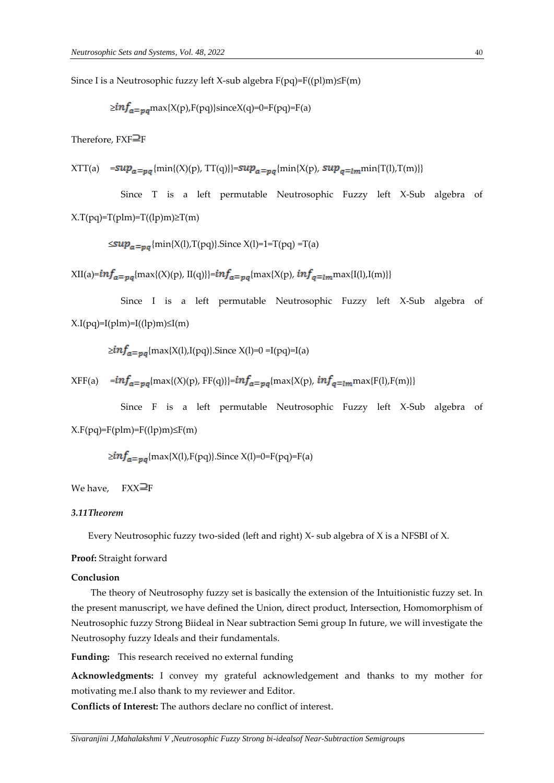Since I is a Neutrosophic fuzzy left X-sub algebra  $F(pq)=F((p1)m)\leq F(m)$ 

$$
\geq inf_{a=pq} \text{max}(X(p), F(pq)) \text{since} X(q) = 0 = F(pq) = F(a)
$$

Therefore,  $FXF\overline{=}F$ 

 $\label{eq:xt} \begin{array}{ll} \displaystyle \chi TT(a) & \displaystyle \!=\!\! \sup_{a \, \equiv \, pq} \{ \min \{ (X)(p), \, TT(q) \} \} \!\! = \!\! \sup_{a \, \equiv \, pq} \{ \min \{ X(p), \, \sup_{q \, \equiv \, lm} \min \{ T(l),T(m) \} \} \end{array}$ 

 Since T is a left permutable Neutrosophic Fuzzy left X-Sub algebra of  $X.T(pq)=T(plm)=T((lp)m)\geq T(m)$ 

 $\leq$ su $p_a = p_a$ {min{X(l),T(pq)}.Since X(l)=1=T(pq) =T(a)

 $XII(a) = {inf_{a = pa}}$ {max{(X)(p), II(q)}}= ${inf_{a = pa}}$ {max{X(p),  ${inf_{a = lm}}$ max{I(l),I(m)}}

 Since I is a left permutable Neutrosophic Fuzzy left X-Sub algebra of  $X.I(pq)=I(plm)=I((lp)m)\leq I(m)$ 

 $\geq$ in $f_{a=pa}$ {max{X(l),I(pq)}.Since X(l)=0 =I(pq)=I(a)

 $XFF(a) = {inf_{a=pa}{\{max\{(X)(p), FF(q)\}}}={inf_{a=pa}{\{max\{X(p),inf_{q=lm}max\{F(l),F(m)\}\}}}}$ 

 Since F is a left permutable Neutrosophic Fuzzy left X-Sub algebra of  $X.F(pq)=F(plm)=F((lp)m)\leq F(m)$ 

 $\geq$ in $f_{a=na}$ {max{X(l),F(pq)}.Since X(l)=0=F(pq)=F(a)

#### We have,  $FXX\rightarrow P$

### *3.11Theorem*

Every Neutrosophic fuzzy two-sided (left and right) X- sub algebra of X is a NFSBI of X.

#### **Proof:** Straight forward

### **Conclusion**

The theory of Neutrosophy fuzzy set is basically the extension of the Intuitionistic fuzzy set. In the present manuscript, we have defined the Union, direct product, Intersection, Homomorphism of Neutrosophic fuzzy Strong Biideal in Near subtraction Semi group In future, we will investigate the Neutrosophy fuzzy Ideals and their fundamentals.

**Funding:** This research received no external funding

**Acknowledgments:** I convey my grateful acknowledgement and thanks to my mother for motivating me.I also thank to my reviewer and Editor.

**Conflicts of Interest:** The authors declare no conflict of interest.